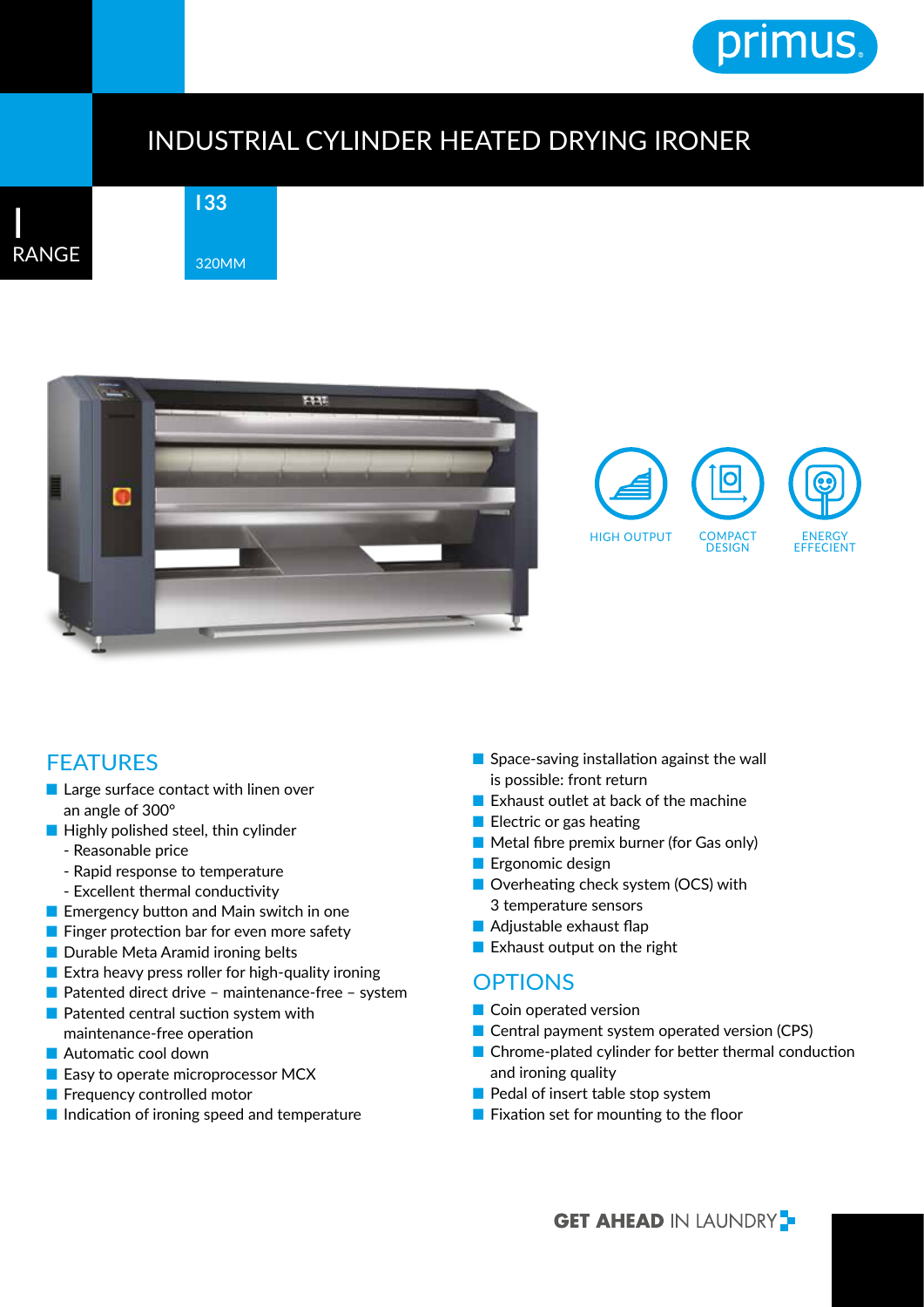

## INDUSTRIAL CYLINDER HEATED DRYING IRONER

## **I 33** 320MM





## **FFATURFS**

- Large surface contact with linen over an angle of 300°
- Highly polished steel, thin cylinder
	- Reasonable price
	- Rapid response to temperature
	- Excellent thermal conductivity
- Emergency button and Main switch in one
- Finger protection bar for even more safety
- Durable Meta Aramid ironing belts
- Extra heavy press roller for high-quality ironing
- Patented direct drive maintenance-free system
- Patented central suction system with maintenance-free operation
- Automatic cool down
- Easy to operate microprocessor MCX
- Frequency controlled motor
- Indication of ironing speed and temperature
- Space-saving installation against the wall is possible: front return
- Exhaust outlet at back of the machine
- Electric or gas heating
- Metal fibre premix burner (for Gas only)
- **E** Ergonomic design
- Overheating check system (OCS) with 3 temperature sensors
- Adjustable exhaust flap
- Exhaust output on the right

## **OPTIONS**

- Coin operated version
- Central payment system operated version (CPS)
- Chrome-plated cylinder for better thermal conduction and ironing quality
- Pedal of insert table stop system
- Fixation set for mounting to the floor